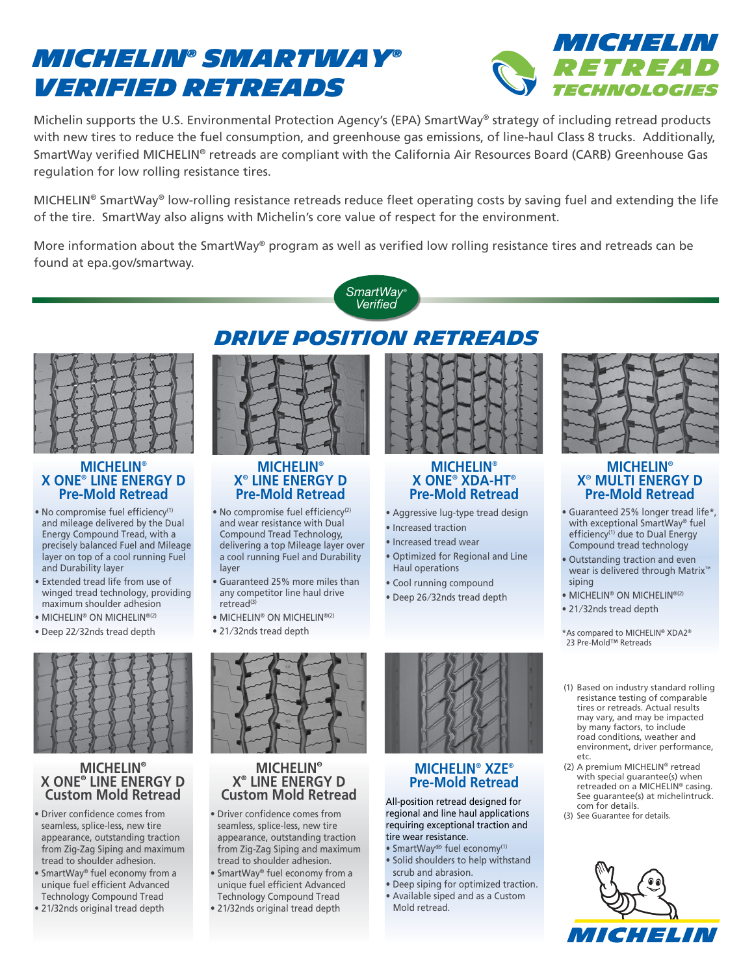# *MICHELIN® SmartWay® Verified Retreads*



Michelin supports the U.S. Environmental Protection Agency's (EPA) SmartWay® strategy of including retread products with new tires to reduce the fuel consumption, and greenhouse gas emissions, of line-haul Class 8 trucks. Additionally, SmartWay verified MICHELIN® retreads are compliant with the California Air Resources Board (CARB) Greenhouse Gas regulation for low rolling resistance tires.

MICHELIN® SmartWay® low-rolling resistance retreads reduce fleet operating costs by saving fuel and extending the life of the tire. SmartWay also aligns with Michelin's core value of respect for the environment.

More information about the SmartWay<sup>®</sup> program as well as verified low rolling resistance tires and retreads can be found at epa.gov/smartway.





#### **MICHELIN**® **X ONE**®  **LINE ENERGY D Pre-Mold Retread**

- · No compromise fuel efficiency<sup>(1)</sup> and mileage delivered by the Dual Energy Compound Tread, with a precisely balanced Fuel and Mileage layer on top of a cool running Fuel and Durability layer
- Extended tread life from use of winged tread technology, providing maximum shoulder adhesion
- MICHELIN® ON MICHELIN®(2)
- Deep 22⁄ 32nds tread depth



### **MICHELIN**® **X ONE**®  **LINE ENERGY D Custom Mold Retread**

- Driver confidence comes from seamless, splice-less, new tire appearance, outstanding traction from Zig-Zag Siping and maximum tread to shoulder adhesion.
- SmartWay® fuel economy from a unique fuel efficient Advanced Technology Compound Tread
- 21/32nds original tread depth

## *DRIVE POSITION RETREADS*



#### **MICHELIN**® **X**®  **LINE ENERGY D Pre-Mold Retread**

- No compromise fuel efficiency<sup>(2)</sup> and wear resistance with Dual Compound Tread Technology, delivering a top Mileage layer over a cool running Fuel and Durability layer
- Guaranteed 25% more miles than any competitor line haul drive retread<sup>(3)</sup>
- MICHELIN® ON MICHELIN®(2)
- 21/32nds tread depth



#### **MICHELIN**® **X**®  **LINE ENERGY D Custom Mold Retread**

- Driver confidence comes from seamless, splice-less, new tire appearance, outstanding traction from Zig-Zag Siping and maximum tread to shoulder adhesion.
- SmartWay® fuel economy from a unique fuel efficient Advanced Technology Compound Tread
- 21/32nds original tread depth



### **MICHELIN**® **X ONE**®  **XDA-HT**®  **Pre-Mold Retread**

- Aggressive lug-type tread design
- Increased traction
- Increased tread wear
- Optimized for Regional and Line Haul operations

**MICHELIN**®  **XZE**®  **Pre-Mold Retread** All-position retread designed for regional and line haul applications requiring exceptional traction and

• Deep siping for optimized traction. • Available siped and as a Custom

tire wear resistance. • SmartWay® fuel economy(1) • Solid shoulders to help withstand

scrub and abrasion.

Mold retread.

- Cool running compound
- Deep 26 ⁄ 32nds tread depth
- 21/32nds tread depth

siping

\*As compared to MICHELIN® XDA2® 23 Pre-Mold™ Retreads

• MICHELIN® ON MICHELIN®(2)

**MICHELIN**® **X**®  **MULTI ENERGY D Pre-Mold Retread** • Guaranteed 25% longer tread life\*, with exceptional SmartWay® fuel efficiency<sup>(1)</sup> due to Dual Energy Compound tread technology • Outstanding traction and even wear is delivered through Matrix™

- (1) Based on industry standard rolling resistance testing of comparable tires or retreads. Actual results may vary, and may be impacted by many factors, to include road conditions, weather and environment, driver performance, etc.
- (2) A premium MICHELIN® retread with special guarantee(s) when retreaded on a MICHELIN® casing. See guarantee(s) at michelintruck. com for details.
- (3) See Guarantee for details.